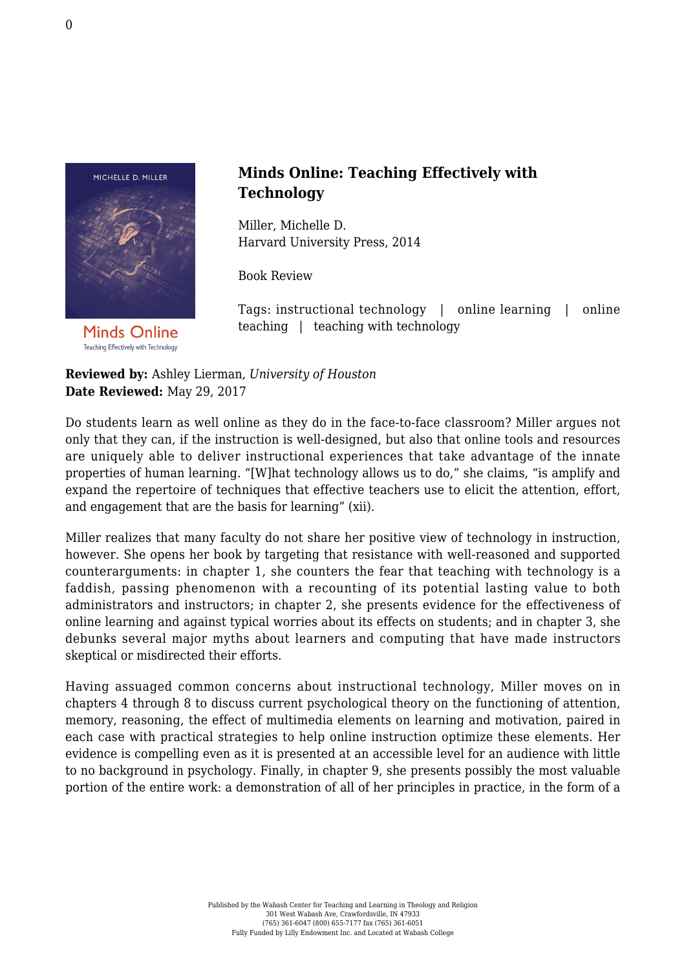

**Minds Online** Teaching Effectively with Technology

## **Minds Online: Teaching Effectively with Technology**

Miller, Michelle D. [Harvard University Press, 2014](http://www.hup.harvard.edu/catalog.php?isbn=9780674368248)

Book Review

Tags: instructional technology | online learning | online teaching | teaching with technology

**Reviewed by:** Ashley Lierman, *University of Houston* **Date Reviewed:** May 29, 2017

Do students learn as well online as they do in the face-to-face classroom? Miller argues not only that they can, if the instruction is well-designed, but also that online tools and resources are uniquely able to deliver instructional experiences that take advantage of the innate properties of human learning. "[W]hat technology allows us to do," she claims, "is amplify and expand the repertoire of techniques that effective teachers use to elicit the attention, effort, and engagement that are the basis for learning" (xii).

Miller realizes that many faculty do not share her positive view of technology in instruction, however. She opens her book by targeting that resistance with well-reasoned and supported counterarguments: in chapter 1, she counters the fear that teaching with technology is a faddish, passing phenomenon with a recounting of its potential lasting value to both administrators and instructors; in chapter 2, she presents evidence for the effectiveness of online learning and against typical worries about its effects on students; and in chapter 3, she debunks several major myths about learners and computing that have made instructors skeptical or misdirected their efforts.

Having assuaged common concerns about instructional technology, Miller moves on in chapters 4 through 8 to discuss current psychological theory on the functioning of attention, memory, reasoning, the effect of multimedia elements on learning and motivation, paired in each case with practical strategies to help online instruction optimize these elements. Her evidence is compelling even as it is presented at an accessible level for an audience with little to no background in psychology. Finally, in chapter 9, she presents possibly the most valuable portion of the entire work: a demonstration of all of her principles in practice, in the form of a